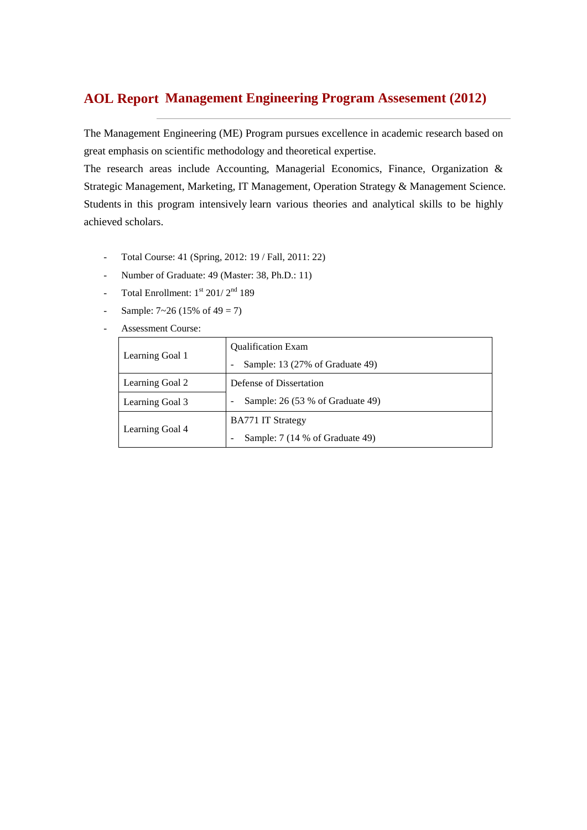## **Management Engineering Program Assesement (2012) AOL Report**

The Management Engineering (ME) Program pursues excellence in academic research based on great emphasis on scientific methodology and theoretical expertise.

The research areas include Accounting, Managerial Economics, Finance, Organization & Strategic Management, Marketing, IT Management, Operation Strategy & Management Science. Students in this program intensively learn various theories and analytical skills to be highly achieved scholars.

- Total Course: 41 (Spring, 2012: 19 / Fall, 2011: 22)
- Number of Graduate: 49 (Master: 38, Ph.D.: 11)
- Total Enrollment:  $1<sup>st</sup> 201/ 2<sup>nd</sup> 189$
- Sample:  $7 \times 26 (15\% \text{ of } 49 = 7)$
- Assessment Course:

|                 | <b>Qualification Exam</b>          |  |  |  |  |  |
|-----------------|------------------------------------|--|--|--|--|--|
| Learning Goal 1 | Sample: 13 (27% of Graduate 49)    |  |  |  |  |  |
| Learning Goal 2 | Defense of Dissertation            |  |  |  |  |  |
| Learning Goal 3 | Sample: $26(53% )$ of Graduate 49) |  |  |  |  |  |
|                 | <b>BA771 IT Strategy</b>           |  |  |  |  |  |
| Learning Goal 4 | Sample: 7 (14 % of Graduate 49)    |  |  |  |  |  |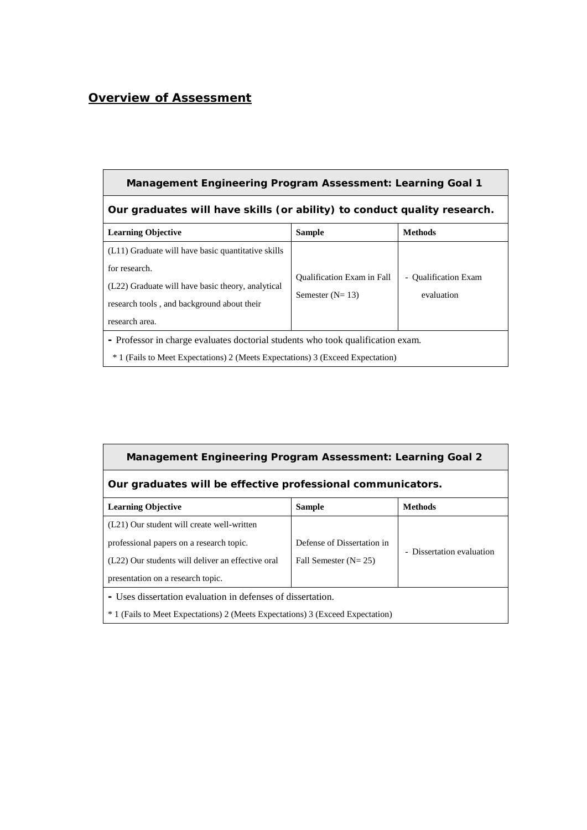## *Overview of Assessment*

| <b>Management Engineering Program Assessment: Learning Goal 1</b>                                                                                                                        |                                                        |                                    |  |  |  |  |  |  |
|------------------------------------------------------------------------------------------------------------------------------------------------------------------------------------------|--------------------------------------------------------|------------------------------------|--|--|--|--|--|--|
| Our graduates will have skills (or ability) to conduct quality research.                                                                                                                 |                                                        |                                    |  |  |  |  |  |  |
| <b>Methods</b><br><b>Learning Objective</b><br><b>Sample</b>                                                                                                                             |                                                        |                                    |  |  |  |  |  |  |
| (L11) Graduate will have basic quantitative skills<br>for research.<br>(L22) Graduate will have basic theory, analytical<br>research tools, and background about their<br>research area. | <b>Oualification Exam in Fall</b><br>Semester $(N=13)$ | - Qualification Exam<br>evaluation |  |  |  |  |  |  |
| - Professor in charge evaluates doctorial students who took qualification exam.<br><sup>*</sup> 1 (Fails to Meet Expectations) 2 (Meets Expectations) 3 (Exceed Expectation)             |                                                        |                                    |  |  |  |  |  |  |

## **Management Engineering Program Assessment: Learning Goal 2**

## **Our graduates will be effective professional communicators.**

| <b>Learning Objective</b>                                                                 | <b>Sample</b>              | <b>Methods</b>            |  |  |  |  |  |
|-------------------------------------------------------------------------------------------|----------------------------|---------------------------|--|--|--|--|--|
| (L21) Our student will create well-written                                                |                            |                           |  |  |  |  |  |
| professional papers on a research topic.                                                  | Defense of Dissertation in |                           |  |  |  |  |  |
| (L22) Our students will deliver an effective oral                                         | Fall Semester $(N=25)$     | - Dissertation evaluation |  |  |  |  |  |
| presentation on a research topic.                                                         |                            |                           |  |  |  |  |  |
| - Uses dissertation evaluation in defenses of dissertation.                               |                            |                           |  |  |  |  |  |
| <sup>*</sup> 1 (Fails to Meet Expectations) 2 (Meets Expectations) 3 (Exceed Expectation) |                            |                           |  |  |  |  |  |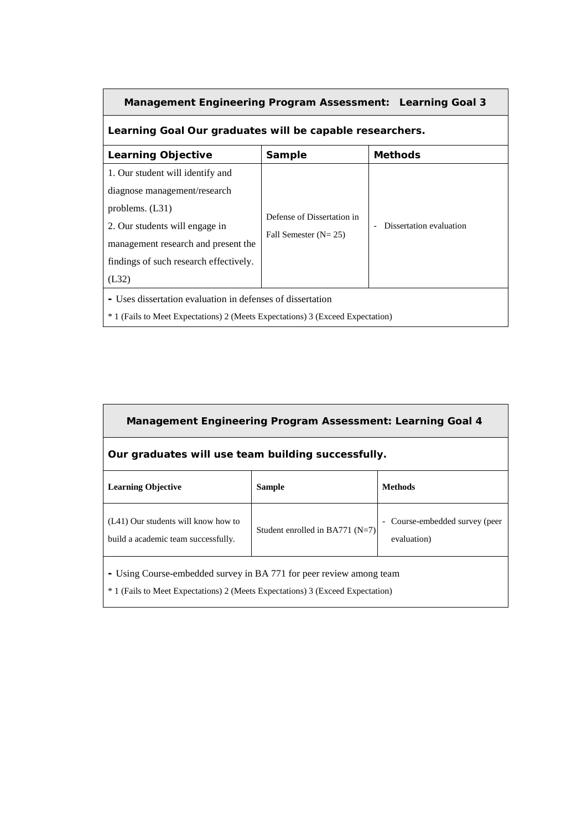| <b>Management Engineering Program Assessment: Learning Goal 3</b>                                                                                                                                                                                                                                    |  |  |  |  |  |  |  |  |
|------------------------------------------------------------------------------------------------------------------------------------------------------------------------------------------------------------------------------------------------------------------------------------------------------|--|--|--|--|--|--|--|--|
| Learning Goal Our graduates will be capable researchers.                                                                                                                                                                                                                                             |  |  |  |  |  |  |  |  |
| <b>Methods</b><br><b>Learning Objective</b><br><b>Sample</b>                                                                                                                                                                                                                                         |  |  |  |  |  |  |  |  |
| 1. Our student will identify and<br>diagnose management/research<br>problems. $(L31)$<br>Defense of Dissertation in<br>Dissertation evaluation<br>2. Our students will engage in<br>Fall Semester $(N=25)$<br>management research and present the<br>findings of such research effectively.<br>(L32) |  |  |  |  |  |  |  |  |
| - Uses dissertation evaluation in defenses of dissertation<br><sup>*</sup> 1 (Fails to Meet Expectations) 2 (Meets Expectations) 3 (Exceed Expectation)                                                                                                                                              |  |  |  |  |  |  |  |  |

| Management Engineering Program Assessment: Learning Goal 4                                                                                                       |                                   |                                             |  |  |  |  |  |  |
|------------------------------------------------------------------------------------------------------------------------------------------------------------------|-----------------------------------|---------------------------------------------|--|--|--|--|--|--|
| Our graduates will use team building successfully.                                                                                                               |                                   |                                             |  |  |  |  |  |  |
| <b>Learning Objective</b>                                                                                                                                        | <b>Sample</b>                     | <b>Methods</b>                              |  |  |  |  |  |  |
| (L41) Our students will know how to<br>build a academic team successfully.                                                                                       | Student enrolled in BA771 $(N=7)$ | Course-embedded survey (peer<br>evaluation) |  |  |  |  |  |  |
| - Using Course-embedded survey in BA 771 for peer review among team<br><sup>*</sup> 1 (Fails to Meet Expectations) 2 (Meets Expectations) 3 (Exceed Expectation) |                                   |                                             |  |  |  |  |  |  |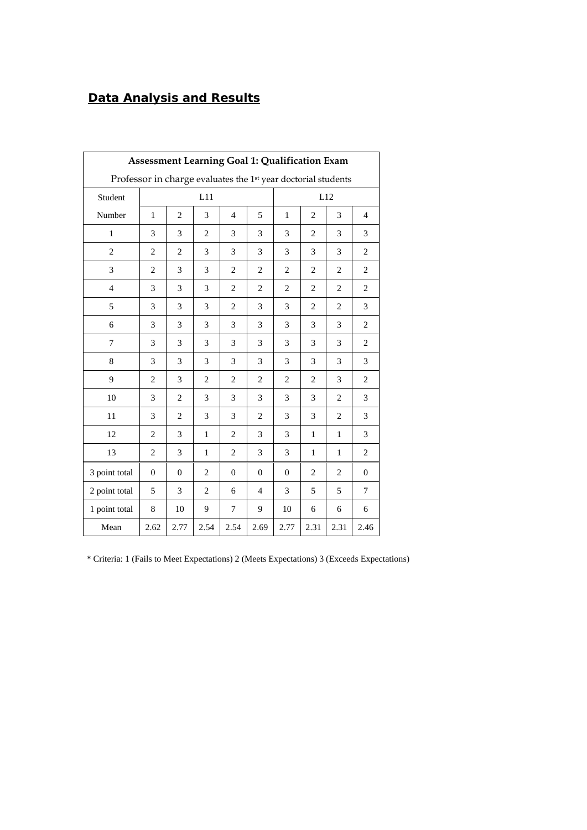# *Data Analysis and Results*

| <b>Assessment Learning Goal 1: Qualification Exam</b>                     |                |                |                |                |                |                |                |                |                |  |
|---------------------------------------------------------------------------|----------------|----------------|----------------|----------------|----------------|----------------|----------------|----------------|----------------|--|
| Professor in charge evaluates the 1 <sup>st</sup> year doctorial students |                |                |                |                |                |                |                |                |                |  |
| Student                                                                   |                |                | L11            |                |                |                |                | L12            |                |  |
| Number                                                                    | $\mathbf{1}$   | $\overline{2}$ | 3              | $\overline{4}$ | 5              | $\mathbf{1}$   | $\mathbf{2}$   | 3              | $\overline{4}$ |  |
| $\mathbf{1}$                                                              | 3              | 3              | $\overline{2}$ | 3              | 3              | 3              | $\overline{2}$ | 3              | 3              |  |
| $\overline{2}$                                                            | $\overline{2}$ | $\overline{2}$ | 3              | 3              | 3              | 3              | 3              | 3              | $\overline{2}$ |  |
| 3                                                                         | $\overline{c}$ | 3              | 3              | $\overline{c}$ | $\overline{2}$ | $\overline{2}$ | $\overline{2}$ | $\overline{2}$ | $\overline{2}$ |  |
| $\overline{4}$                                                            | 3              | 3              | 3              | 2              | $\overline{2}$ | 2              | 2              | 2              | $\overline{2}$ |  |
| 5                                                                         | 3              | 3              | 3              | $\overline{c}$ | 3              | 3              | $\overline{2}$ | 2              | 3              |  |
| 6                                                                         | 3              | 3              | 3              | 3              | 3              | 3              | 3              | 3              | $\overline{2}$ |  |
| 7                                                                         | 3              | 3              | 3              | 3              | 3              | 3              | 3              | 3              | $\overline{2}$ |  |
| 8                                                                         | 3              | 3              | 3              | 3              | 3              | 3              | 3              | 3              | 3              |  |
| 9                                                                         | $\overline{2}$ | 3              | $\overline{2}$ | $\overline{2}$ | $\overline{2}$ | $\overline{2}$ | $\overline{2}$ | 3              | $\overline{c}$ |  |
| 10                                                                        | 3              | $\mathfrak{2}$ | 3              | 3              | 3              | 3              | 3              | $\overline{2}$ | 3              |  |
| 11                                                                        | 3              | $\overline{c}$ | 3              | 3              | $\overline{2}$ | 3              | 3              | $\overline{2}$ | 3              |  |
| 12                                                                        | $\overline{c}$ | 3              | $\mathbf{1}$   | $\overline{c}$ | 3              | 3              | $\mathbf{1}$   | $\mathbf{1}$   | 3              |  |
| 13                                                                        | $\overline{c}$ | 3              | $\mathbf{1}$   | 2              | 3              | 3              | 1              | 1              | $\overline{c}$ |  |
| 3 point total                                                             | $\overline{0}$ | $\theta$       | 2              | $\mathbf{0}$   | $\mathbf{0}$   | $\mathbf{0}$   | $\overline{2}$ | $\overline{c}$ | $\theta$       |  |
| 2 point total                                                             | 5              | 3              | $\overline{c}$ | 6              | $\overline{4}$ | 3              | 5              | 5              | 7              |  |
| 1 point total                                                             | 8              | 10             | 9              | 7              | 9              | 10             | 6              | 6              | 6              |  |
| Mean                                                                      | 2.62           | 2.77           | 2.54           | 2.54           | 2.69           | 2.77           | 2.31           | 2.31           | 2.46           |  |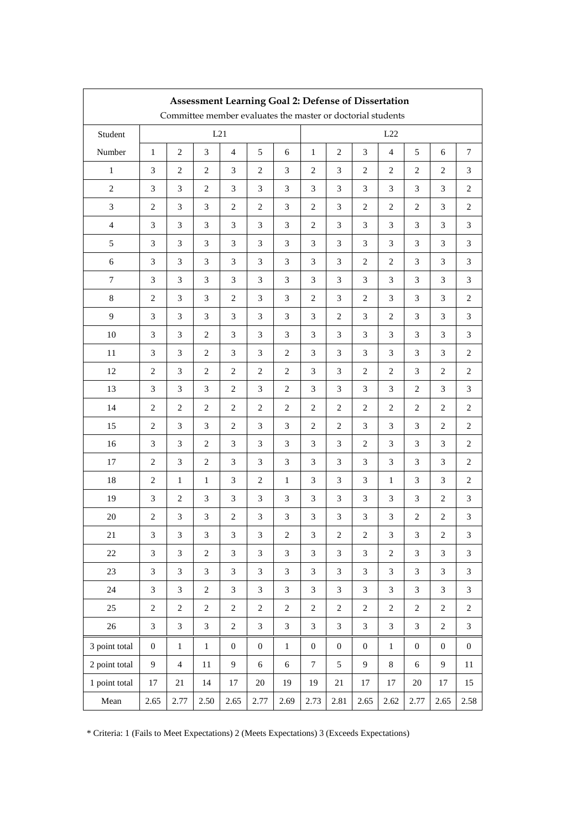|                | Assessment Learning Goal 2: Defense of Dissertation<br>Committee member evaluates the master or doctorial students |                             |                |                             |                  |                             |                  |                             |                  |                  |                             |                         |                             |
|----------------|--------------------------------------------------------------------------------------------------------------------|-----------------------------|----------------|-----------------------------|------------------|-----------------------------|------------------|-----------------------------|------------------|------------------|-----------------------------|-------------------------|-----------------------------|
|                |                                                                                                                    |                             |                |                             |                  |                             |                  |                             |                  |                  |                             |                         |                             |
| Student        |                                                                                                                    |                             | L21            |                             |                  |                             | L22              |                             |                  |                  |                             |                         |                             |
| Number         | $\mathbf{1}$                                                                                                       | $\mathbf{2}$                | 3              | $\overline{4}$              | 5                | 6                           | $\mathbf{1}$     | $\mathbf{2}$                | 3                | $\overline{4}$   | 5                           | 6                       | $\tau$                      |
| $\mathbf{1}$   | 3                                                                                                                  | $\mathbf{2}$                | $\mathbf{2}$   | 3                           | $\mathbf{2}$     | 3                           | $\overline{2}$   | 3                           | $\mathbf{2}$     | $\mathbf{2}$     | $\overline{c}$              | $\overline{c}$          | 3                           |
| $\sqrt{2}$     | 3                                                                                                                  | $\ensuremath{\mathfrak{Z}}$ | $\mathbf{2}$   | $\ensuremath{\mathfrak{Z}}$ | 3                | 3                           | 3                | 3                           | 3                | 3                | 3                           | 3                       | $\overline{2}$              |
| 3              | $\overline{c}$                                                                                                     | $\ensuremath{\mathfrak{Z}}$ | 3              | $\overline{c}$              | $\mathbf{2}$     | 3                           | $\mathbf{2}$     | $\ensuremath{\mathfrak{Z}}$ | $\mathbf{2}$     | $\overline{2}$   | $\overline{c}$              | 3                       | 2                           |
| $\overline{4}$ | 3                                                                                                                  | 3                           | 3              | 3                           | 3                | 3                           | $\overline{c}$   | 3                           | 3                | 3                | 3                           | 3                       | 3                           |
| 5              | 3                                                                                                                  | 3                           | 3              | 3                           | 3                | 3                           | 3                | $\ensuremath{\mathfrak{Z}}$ | 3                | 3                | 3                           | 3                       | 3                           |
| 6              | 3                                                                                                                  | 3                           | 3              | 3                           | 3                | 3                           | 3                | 3                           | $\mathbf{2}$     | $\overline{2}$   | 3                           | 3                       | 3                           |
| $\tau$         | 3                                                                                                                  | 3                           | 3              | 3                           | 3                | $\mathfrak{Z}$              | 3                | 3                           | 3                | 3                | 3                           | 3                       | 3                           |
| $\,8\,$        | $\overline{c}$                                                                                                     | $\ensuremath{\mathfrak{Z}}$ | 3              | $\sqrt{2}$                  | 3                | $\sqrt{3}$                  | $\mathbf{2}$     | $\ensuremath{\mathfrak{Z}}$ | $\mathbf{2}$     | 3                | 3                           | 3                       | $\overline{2}$              |
| 9              | 3                                                                                                                  | $\ensuremath{\mathfrak{Z}}$ | 3              | $\ensuremath{\mathfrak{Z}}$ | 3                | $\sqrt{3}$                  | 3                | $\overline{c}$              | 3                | $\mathbf{2}$     | 3                           | 3                       | 3                           |
| 10             | 3                                                                                                                  | 3                           | $\mathbf{2}$   | 3                           | 3                | 3                           | 3                | 3                           | 3                | $\mathfrak{Z}$   | 3                           | 3                       | 3                           |
| 11             | 3                                                                                                                  | $\ensuremath{\mathfrak{Z}}$ | $\mathbf{2}$   | $\ensuremath{\mathfrak{Z}}$ | 3                | $\overline{2}$              | 3                | $\ensuremath{\mathfrak{Z}}$ | 3                | 3                | 3                           | 3                       | $\overline{c}$              |
| 12             | $\overline{c}$                                                                                                     | 3                           | $\mathbf{2}$   | $\overline{c}$              | $\mathbf{2}$     | $\overline{2}$              | 3                | 3                           | $\mathbf{2}$     | $\overline{2}$   | 3                           | $\overline{c}$          | $\overline{2}$              |
| 13             | 3                                                                                                                  | 3                           | 3              | $\overline{c}$              | 3                | $\overline{c}$              | 3                | $\mathfrak{Z}$              | 3                | 3                | 2                           | 3                       | 3                           |
| 14             | $\overline{c}$                                                                                                     | $\sqrt{2}$                  | $\mathbf{2}$   | $\overline{c}$              | $\mathbf{2}$     | $\overline{c}$              | $\mathbf{2}$     | $\overline{c}$              | $\mathbf{2}$     | $\overline{2}$   | $\overline{2}$              | $\boldsymbol{2}$        | $\overline{2}$              |
| 15             | $\overline{c}$                                                                                                     | 3                           | 3              | $\overline{2}$              | 3                | 3                           | $\mathbf{2}$     | 2                           | 3                | 3                | 3                           | $\overline{c}$          | 2                           |
| 16             | 3                                                                                                                  | 3                           | $\overline{2}$ | 3                           | 3                | 3                           | 3                | 3                           | $\overline{2}$   | 3                | 3                           | 3                       | 2                           |
| 17             | $\overline{c}$                                                                                                     | 3                           | $\overline{2}$ | 3                           | 3                | 3                           | 3                | 3                           | 3                | 3                | 3                           | 3                       | $\overline{2}$              |
| 18             | $\overline{c}$                                                                                                     | $\mathbf{1}$                | $\mathbf{1}$   | 3                           | $\mathbf{2}$     | $\mathbf{1}$                | 3                | 3                           | 3                | $\mathbf{1}$     | 3                           | 3                       | 2                           |
| 19             | 3                                                                                                                  | $\overline{c}$              | 3              | 3                           | 3                | 3                           | 3                | 3                           | 3                | 3                | 3                           | 2                       | 3                           |
| $20\,$         | $\sqrt{2}$                                                                                                         | $\ensuremath{\mathfrak{Z}}$ | 3              | $\sqrt{2}$                  | 3                | $\ensuremath{\mathfrak{Z}}$ | 3                | $\mathfrak{Z}$              | 3                | $\mathfrak{Z}$   | $\overline{2}$              | $\boldsymbol{2}$        | 3                           |
| 21             | 3                                                                                                                  | $\mathfrak{Z}$              | $\mathfrak{Z}$ | 3                           | 3                | $\boldsymbol{2}$            | 3                | $\overline{\mathbf{c}}$     | $\overline{c}$   | 3                | 3                           | $\overline{\mathbf{c}}$ | 3                           |
| $22\,$         | 3                                                                                                                  | $\mathfrak{Z}$              | $\sqrt{2}$     | $\mathfrak{Z}$              | $\mathfrak{Z}$   | $\mathfrak{Z}$              | $\mathfrak{Z}$   | $\mathfrak{Z}$              | 3                | $\sqrt{2}$       | $\mathfrak{Z}$              | $\mathfrak{Z}$          | $\mathfrak{Z}$              |
| $23\,$         | 3                                                                                                                  | $\mathfrak{Z}$              | $\mathfrak{Z}$ | $\mathfrak{Z}$              | $\mathfrak{Z}$   | $\ensuremath{\mathfrak{Z}}$ | 3                | $\ensuremath{\mathfrak{Z}}$ | 3                | $\mathfrak{Z}$   | $\mathfrak{Z}$              | $\mathfrak{Z}$          | $\ensuremath{\mathfrak{Z}}$ |
| $24\,$         | $\mathfrak{Z}$                                                                                                     | $\ensuremath{\mathfrak{Z}}$ | $\sqrt{2}$     | $\mathfrak{Z}$              | $\sqrt{3}$       | $\ensuremath{\mathfrak{Z}}$ | 3                | $\ensuremath{\mathfrak{Z}}$ | $\mathfrak{Z}$   | $\mathfrak{Z}$   | $\ensuremath{\mathfrak{Z}}$ | $\mathfrak{Z}$          | $\ensuremath{\mathfrak{Z}}$ |
| $25\,$         | $\sqrt{2}$                                                                                                         | $\sqrt{2}$                  | $\sqrt{2}$     | $\overline{c}$              | $\sqrt{2}$       | $\sqrt{2}$                  | $\overline{c}$   | $\sqrt{2}$                  | $\overline{c}$   | $\boldsymbol{2}$ | $\sqrt{2}$                  | $\overline{c}$          | $\sqrt{2}$                  |
| $26\,$         | 3                                                                                                                  | $\mathfrak{Z}$              | $\mathfrak{Z}$ | $\overline{c}$              | $\mathfrak{Z}$   | $\mathfrak{Z}$              | 3                | $\mathfrak{Z}$              | 3                | $\mathfrak{Z}$   | $\ensuremath{\mathfrak{Z}}$ | $\overline{c}$          | $\mathfrak{Z}$              |
| 3 point total  | $\boldsymbol{0}$                                                                                                   | $\mathbf{1}$                | $\,1$          | $\boldsymbol{0}$            | $\boldsymbol{0}$ | $\mathbf{1}$                | $\boldsymbol{0}$ | $\boldsymbol{0}$            | $\boldsymbol{0}$ | $\mathbf{1}$     | $\boldsymbol{0}$            | $\boldsymbol{0}$        | $\boldsymbol{0}$            |
| 2 point total  | 9                                                                                                                  | $\overline{4}$              | $11\,$         | 9                           | $\sqrt{6}$       | $\sqrt{6}$                  | $\boldsymbol{7}$ | 5                           | 9                | $8\,$            | $\sqrt{6}$                  | $\overline{9}$          | 11                          |
| 1 point total  | $17\,$                                                                                                             | 21                          | 14             | $17\,$                      | $20\,$           | 19                          | 19               | $21\,$                      | 17               | $17\,$           | $20\,$                      | 17                      | 15                          |
| Mean           | 2.65                                                                                                               | 2.77                        | 2.50           | 2.65                        | 2.77             | 2.69                        | 2.73             | $2.81\,$                    | 2.65             | 2.62             | 2.77                        | 2.65                    | $2.58\,$                    |

 $\mathbf{r}$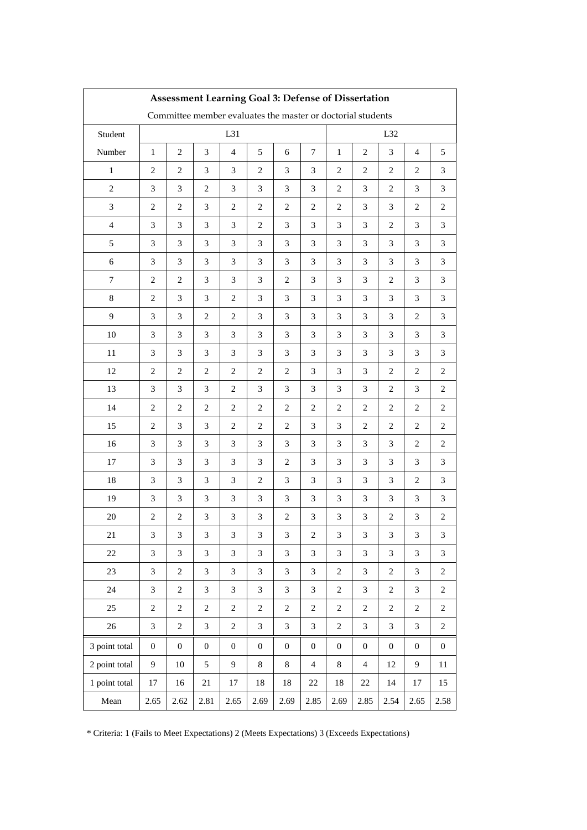|                                                             | Assessment Learning Goal 3: Defense of Dissertation |                  |                             |                             |                  |                  |                             |                  |                  |                  |                  |                             |
|-------------------------------------------------------------|-----------------------------------------------------|------------------|-----------------------------|-----------------------------|------------------|------------------|-----------------------------|------------------|------------------|------------------|------------------|-----------------------------|
| Committee member evaluates the master or doctorial students |                                                     |                  |                             |                             |                  |                  |                             |                  |                  |                  |                  |                             |
| Student                                                     | L31                                                 |                  |                             |                             |                  |                  |                             |                  |                  | L32              |                  |                             |
| Number                                                      | $\mathbf{1}$                                        | $\mathbf{2}$     | 3                           | $\overline{4}$              | 5                | 6                | $\tau$                      | 1                | $\mathfrak{2}$   | 3                | $\overline{4}$   | 5                           |
| $\mathbf{1}$                                                | $\overline{c}$                                      | $\overline{c}$   | 3                           | $\mathfrak{Z}$              | $\sqrt{2}$       | 3                | 3                           | $\overline{c}$   | $\mathfrak{2}$   | 2                | $\mathbf{2}$     | 3                           |
| $\,2$                                                       | 3                                                   | 3                | 2                           | 3                           | 3                | 3                | 3                           | $\overline{c}$   | 3                | 2                | 3                | 3                           |
| $\mathfrak{Z}$                                              | $\overline{c}$                                      | $\sqrt{2}$       | 3                           | $\overline{c}$              | $\overline{c}$   | $\overline{c}$   | $\overline{c}$              | $\overline{c}$   | 3                | 3                | $\overline{c}$   | 2                           |
| $\overline{4}$                                              | $\ensuremath{\mathfrak{Z}}$                         | 3                | 3                           | 3                           | 2                | 3                | 3                           | 3                | 3                | $\overline{c}$   | 3                | 3                           |
| $\mathfrak s$                                               | $\ensuremath{\mathfrak{Z}}$                         | 3                | 3                           | 3                           | 3                | 3                | $\mathfrak{Z}$              | 3                | 3                | 3                | 3                | 3                           |
| 6                                                           | $\ensuremath{\mathfrak{Z}}$                         | 3                | 3                           | $\ensuremath{\mathfrak{Z}}$ | 3                | 3                | $\mathfrak{Z}$              | 3                | 3                | $\mathfrak{Z}$   | $\mathfrak{Z}$   | 3                           |
| $\boldsymbol{7}$                                            | $\sqrt{2}$                                          | $\sqrt{2}$       | $\overline{3}$              | 3                           | $\mathfrak{Z}$   | $\sqrt{2}$       | $\mathfrak{Z}$              | 3                | 3                | $\overline{c}$   | $\mathfrak{Z}$   | 3                           |
| $\,8\,$                                                     | $\sqrt{2}$                                          | $\mathfrak{Z}$   | $\mathfrak{Z}$              | $\sqrt{2}$                  | $\mathfrak{Z}$   | 3                | $\ensuremath{\mathfrak{Z}}$ | 3                | $\mathfrak{Z}$   | 3                | $\mathfrak{Z}$   | $\ensuremath{\mathfrak{Z}}$ |
| $\overline{9}$                                              | $\ensuremath{\mathfrak{Z}}$                         | 3                | $\mathbf{2}$                | $\sqrt{2}$                  | 3                | 3                | 3                           | 3                | 3                | $\mathfrak{Z}$   | $\overline{c}$   | 3                           |
| 10                                                          | $\ensuremath{\mathfrak{Z}}$                         | 3                | 3                           | 3                           | 3                | 3                | $\ensuremath{\mathfrak{Z}}$ | 3                | 3                | 3                | 3                | 3                           |
| $11\,$                                                      | $\ensuremath{\mathfrak{Z}}$                         | 3                | 3                           | 3                           | 3                | 3                | $\mathfrak{Z}$              | 3                | 3                | 3                | 3                | $\mathfrak{Z}$              |
| 12                                                          | $\overline{c}$                                      | 2                | $\mathbf{2}$                | $\overline{c}$              | $\overline{c}$   | $\overline{c}$   | $\ensuremath{\mathfrak{Z}}$ | 3                | 3                | 2                | $\,2$            | 2                           |
| 13                                                          | 3                                                   | 3                | 3                           | $\overline{2}$              | 3                | 3                | 3                           | 3                | 3                | 2                | 3                | $\overline{c}$              |
| 14                                                          | $\overline{c}$                                      | $\overline{c}$   | $\boldsymbol{2}$            | $\overline{c}$              | $\overline{c}$   | $\overline{c}$   | $\overline{c}$              | $\overline{c}$   | $\overline{c}$   | $\boldsymbol{2}$ | $\,2$            | $\overline{c}$              |
| 15                                                          | $\overline{c}$                                      | 3                | 3                           | $\overline{c}$              | 2                | $\overline{c}$   | 3                           | 3                | $\overline{2}$   | 2                | $\overline{2}$   | 2                           |
| 16                                                          | $\ensuremath{\mathfrak{Z}}$                         | 3                | 3                           | $\mathfrak{Z}$              | 3                | 3                | $\mathfrak{Z}$              | 3                | 3                | $\mathfrak{Z}$   | $\overline{c}$   | 2                           |
| 17                                                          | $\ensuremath{\mathfrak{Z}}$                         | 3                | 3                           | $\ensuremath{\mathfrak{Z}}$ | $\mathfrak{Z}$   | $\overline{c}$   | $\mathfrak{Z}$              | 3                | 3                | 3                | 3                | $\mathfrak{Z}$              |
| 18                                                          | $\ensuremath{\mathfrak{Z}}$                         | 3                | $\mathfrak{Z}$              | 3                           | $\sqrt{2}$       | 3                | $\mathfrak{Z}$              | 3                | 3                | $\mathfrak{Z}$   | $\boldsymbol{2}$ | 3                           |
| 19                                                          | 3                                                   | $\mathfrak{Z}$   | $\mathfrak{Z}$              | $\ensuremath{\mathfrak{Z}}$ | $\mathfrak{Z}$   | 3                | $\ensuremath{\mathfrak{Z}}$ | 3                | $\mathfrak{Z}$   | $\mathfrak{Z}$   | $\mathfrak{Z}$   | 3                           |
| 20                                                          | $\sqrt{2}$                                          | $\overline{c}$   | $\ensuremath{\mathfrak{Z}}$ | $\mathfrak{Z}$              | $\mathfrak{Z}$   | $\overline{c}$   | $\ensuremath{\mathfrak{Z}}$ | 3                | 3                | 2                | $\mathfrak{Z}$   | $\overline{c}$              |
| 21                                                          | 3                                                   | 3                | $\sqrt{3}$                  | $\sqrt{3}$                  | 3                | 3                | $\overline{\mathbf{c}}$     | $\mathfrak{Z}$   | 3                | 3                | 3                | 3                           |
| 22                                                          | 3                                                   | 3                | 3                           | 3                           | $\mathfrak{Z}$   | 3                | $\mathfrak{Z}$              | 3                | 3                | 3                | 3                | $\mathfrak{Z}$              |
| 23                                                          | 3                                                   | $\sqrt{2}$       | 3                           | 3                           | $\mathfrak{Z}$   | 3                | $\mathfrak{Z}$              | $\sqrt{2}$       | $\mathfrak{Z}$   | $\overline{c}$   | $\mathfrak{Z}$   | $\sqrt{2}$                  |
| 24                                                          | $\mathfrak{Z}$                                      | $\sqrt{2}$       | 3                           | $\mathfrak{Z}$              | 3                | 3                | $\mathfrak{Z}$              | $\boldsymbol{2}$ | $\mathfrak{Z}$   | $\overline{c}$   | $\mathfrak{Z}$   | $\overline{c}$              |
| 25                                                          | $\overline{c}$                                      | $\overline{c}$   | $\overline{c}$              | $\overline{c}$              | $\sqrt{2}$       | $\overline{c}$   | $\overline{c}$              | $\overline{c}$   | $\overline{c}$   | 2                | $\boldsymbol{2}$ | $\overline{c}$              |
| 26                                                          | $\mathfrak{Z}$                                      | $\overline{c}$   | 3                           | $\overline{c}$              | $\mathfrak{Z}$   | 3                | $\mathfrak{Z}$              | $\overline{c}$   | $\mathfrak{Z}$   | 3                | $\mathfrak{Z}$   | $\boldsymbol{2}$            |
| 3 point total                                               | $\boldsymbol{0}$                                    | $\boldsymbol{0}$ | $\boldsymbol{0}$            | $\boldsymbol{0}$            | $\boldsymbol{0}$ | $\boldsymbol{0}$ | $\boldsymbol{0}$            | $\boldsymbol{0}$ | $\boldsymbol{0}$ | $\boldsymbol{0}$ | $\boldsymbol{0}$ | $\boldsymbol{0}$            |
| 2 point total                                               | $\overline{9}$                                      | $10\,$           | 5                           | 9                           | $8\,$            | 8                | $\overline{4}$              | $8\,$            | $\overline{4}$   | 12               | 9                | $11\,$                      |
| 1 point total                                               | 17                                                  | 16               | 21                          | 17                          | 18               | 18               | $22\,$                      | 18               | 22               | 14               | 17               | 15                          |
| ${\bf Mean}$                                                | 2.65                                                | 2.62             | 2.81                        | 2.65                        | 2.69             | 2.69             | 2.85                        | 2.69             | 2.85             | 2.54             | 2.65             | 2.58                        |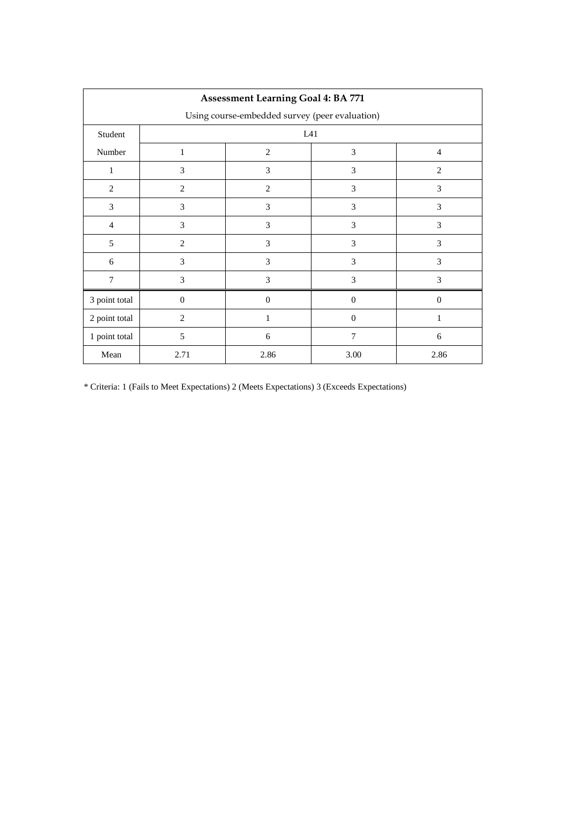| <b>Assessment Learning Goal 4: BA 771</b>      |                |                          |                |          |  |  |  |  |  |  |  |
|------------------------------------------------|----------------|--------------------------|----------------|----------|--|--|--|--|--|--|--|
| Using course-embedded survey (peer evaluation) |                |                          |                |          |  |  |  |  |  |  |  |
| Student                                        |                | L41                      |                |          |  |  |  |  |  |  |  |
| Number                                         | $\mathbf{1}$   | 2<br>3<br>$\overline{4}$ |                |          |  |  |  |  |  |  |  |
| 1                                              | 3              | 3                        | 3              | 2        |  |  |  |  |  |  |  |
| $\overline{2}$                                 | $\overline{2}$ | 2                        | 3              | 3        |  |  |  |  |  |  |  |
| 3                                              | 3              | 3                        | 3              | 3        |  |  |  |  |  |  |  |
| $\overline{4}$                                 | 3              | 3                        | 3              | 3        |  |  |  |  |  |  |  |
| 5                                              | $\overline{2}$ | 3                        | 3              | 3        |  |  |  |  |  |  |  |
| 6                                              | 3              | 3                        | 3              | 3        |  |  |  |  |  |  |  |
| 7                                              | 3              | 3                        | 3              | 3        |  |  |  |  |  |  |  |
| 3 point total                                  | $\mathbf{0}$   | $\theta$                 | $\mathbf{0}$   | $\theta$ |  |  |  |  |  |  |  |
| 2 point total                                  | $\overline{c}$ | 1                        | $\mathbf{0}$   | 1        |  |  |  |  |  |  |  |
| 1 point total                                  | 5              | 6                        | $\overline{7}$ | 6        |  |  |  |  |  |  |  |
| Mean                                           | 2.71           | 2.86                     | 3.00           | 2.86     |  |  |  |  |  |  |  |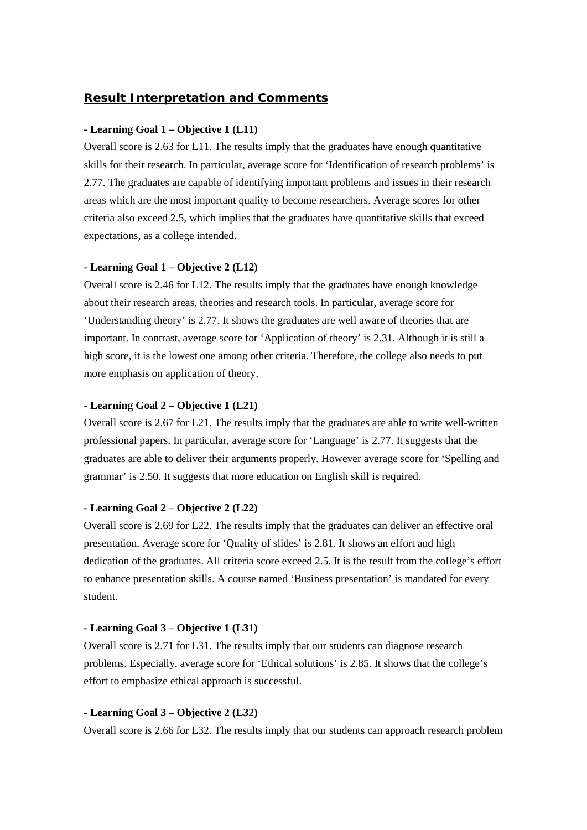## *Result Interpretation and Comments*

#### **- Learning Goal 1 – Objective 1 (L11)**

Overall score is 2.63 for L11. The results imply that the graduates have enough quantitative skills for their research. In particular, average score for 'Identification of research problems' is 2.77. The graduates are capable of identifying important problems and issues in their research areas which are the most important quality to become researchers. Average scores for other criteria also exceed 2.5, which implies that the graduates have quantitative skills that exceed expectations, as a college intended.

#### **- Learning Goal 1 – Objective 2 (L12)**

Overall score is 2.46 for L12. The results imply that the graduates have enough knowledge about their research areas, theories and research tools. In particular, average score for 'Understanding theory' is 2.77. It shows the graduates are well aware of theories that are important. In contrast, average score for 'Application of theory' is 2.31. Although it is still a high score, it is the lowest one among other criteria. Therefore, the college also needs to put more emphasis on application of theory.

#### **- Learning Goal 2 – Objective 1 (L21)**

Overall score is 2.67 for L21. The results imply that the graduates are able to write well-written professional papers. In particular, average score for 'Language' is 2.77. It suggests that the graduates are able to deliver their arguments properly. However average score for 'Spelling and grammar' is 2.50. It suggests that more education on English skill is required.

#### **- Learning Goal 2 – Objective 2 (L22)**

Overall score is 2.69 for L22. The results imply that the graduates can deliver an effective oral presentation. Average score for 'Quality of slides' is 2.81. It shows an effort and high dedication of the graduates. All criteria score exceed 2.5. It is the result from the college's effort to enhance presentation skills. A course named 'Business presentation' is mandated for every student.

#### **- Learning Goal 3 – Objective 1 (L31)**

Overall score is 2.71 for L31. The results imply that our students can diagnose research problems. Especially, average score for 'Ethical solutions' is 2.85. It shows that the college's effort to emphasize ethical approach is successful.

#### **- Learning Goal 3 – Objective 2 (L32)**

Overall score is 2.66 for L32. The results imply that our students can approach research problem